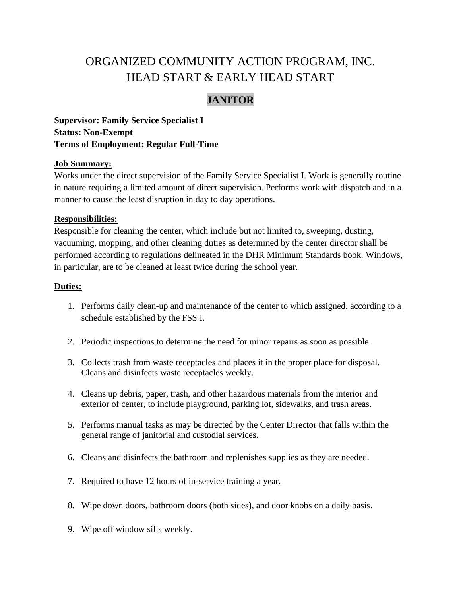# ORGANIZED COMMUNITY ACTION PROGRAM, INC. HEAD START & EARLY HEAD START

# **JANITOR**

**Supervisor: Family Service Specialist I Status: Non-Exempt Terms of Employment: Regular Full-Time**

#### **Job Summary:**

Works under the direct supervision of the Family Service Specialist I. Work is generally routine in nature requiring a limited amount of direct supervision. Performs work with dispatch and in a manner to cause the least disruption in day to day operations.

#### **Responsibilities:**

Responsible for cleaning the center, which include but not limited to, sweeping, dusting, vacuuming, mopping, and other cleaning duties as determined by the center director shall be performed according to regulations delineated in the DHR Minimum Standards book. Windows, in particular, are to be cleaned at least twice during the school year.

#### **Duties:**

- 1. Performs daily clean-up and maintenance of the center to which assigned, according to a schedule established by the FSS I.
- 2. Periodic inspections to determine the need for minor repairs as soon as possible.
- 3. Collects trash from waste receptacles and places it in the proper place for disposal. Cleans and disinfects waste receptacles weekly.
- 4. Cleans up debris, paper, trash, and other hazardous materials from the interior and exterior of center, to include playground, parking lot, sidewalks, and trash areas.
- 5. Performs manual tasks as may be directed by the Center Director that falls within the general range of janitorial and custodial services.
- 6. Cleans and disinfects the bathroom and replenishes supplies as they are needed.
- 7. Required to have 12 hours of in-service training a year.
- 8. Wipe down doors, bathroom doors (both sides), and door knobs on a daily basis.
- 9. Wipe off window sills weekly.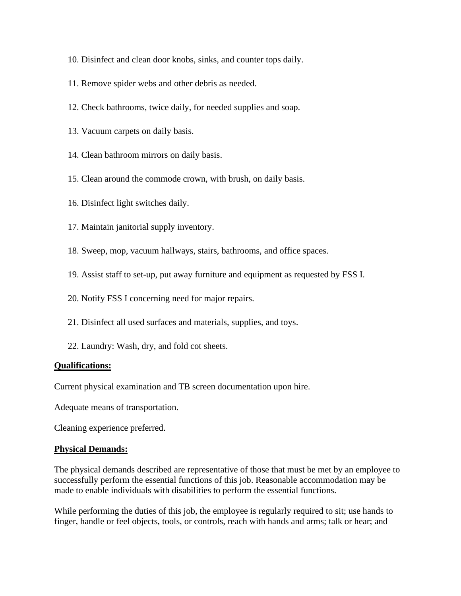- 10. Disinfect and clean door knobs, sinks, and counter tops daily.
- 11. Remove spider webs and other debris as needed.
- 12. Check bathrooms, twice daily, for needed supplies and soap.
- 13. Vacuum carpets on daily basis.
- 14. Clean bathroom mirrors on daily basis.
- 15. Clean around the commode crown, with brush, on daily basis.
- 16. Disinfect light switches daily.
- 17. Maintain janitorial supply inventory.
- 18. Sweep, mop, vacuum hallways, stairs, bathrooms, and office spaces.
- 19. Assist staff to set-up, put away furniture and equipment as requested by FSS I.
- 20. Notify FSS I concerning need for major repairs.
- 21. Disinfect all used surfaces and materials, supplies, and toys.
- 22. Laundry: Wash, dry, and fold cot sheets.

#### **Qualifications:**

Current physical examination and TB screen documentation upon hire.

Adequate means of transportation.

Cleaning experience preferred.

#### **Physical Demands:**

The physical demands described are representative of those that must be met by an employee to successfully perform the essential functions of this job. Reasonable accommodation may be made to enable individuals with disabilities to perform the essential functions.

While performing the duties of this job, the employee is regularly required to sit; use hands to finger, handle or feel objects, tools, or controls, reach with hands and arms; talk or hear; and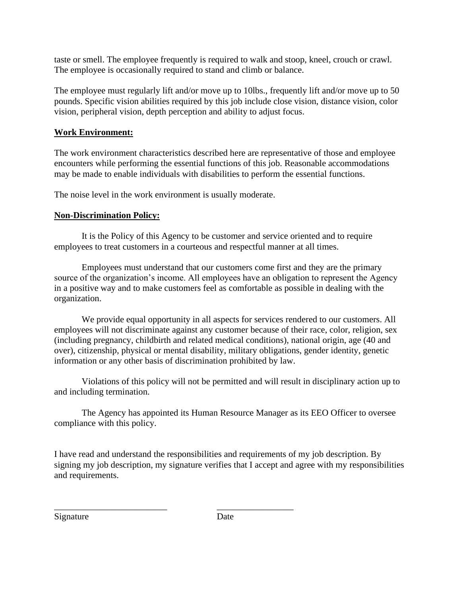taste or smell. The employee frequently is required to walk and stoop, kneel, crouch or crawl. The employee is occasionally required to stand and climb or balance.

The employee must regularly lift and/or move up to 10lbs., frequently lift and/or move up to 50 pounds. Specific vision abilities required by this job include close vision, distance vision, color vision, peripheral vision, depth perception and ability to adjust focus.

### **Work Environment:**

The work environment characteristics described here are representative of those and employee encounters while performing the essential functions of this job. Reasonable accommodations may be made to enable individuals with disabilities to perform the essential functions.

The noise level in the work environment is usually moderate.

## **Non-Discrimination Policy:**

It is the Policy of this Agency to be customer and service oriented and to require employees to treat customers in a courteous and respectful manner at all times.

Employees must understand that our customers come first and they are the primary source of the organization's income. All employees have an obligation to represent the Agency in a positive way and to make customers feel as comfortable as possible in dealing with the organization.

We provide equal opportunity in all aspects for services rendered to our customers. All employees will not discriminate against any customer because of their race, color, religion, sex (including pregnancy, childbirth and related medical conditions), national origin, age (40 and over), citizenship, physical or mental disability, military obligations, gender identity, genetic information or any other basis of discrimination prohibited by law.

Violations of this policy will not be permitted and will result in disciplinary action up to and including termination.

The Agency has appointed its Human Resource Manager as its EEO Officer to oversee compliance with this policy.

I have read and understand the responsibilities and requirements of my job description. By signing my job description, my signature verifies that I accept and agree with my responsibilities and requirements.

Signature Date

\_\_\_\_\_\_\_\_\_\_\_\_\_\_\_\_\_\_\_\_\_\_\_\_\_ \_\_\_\_\_\_\_\_\_\_\_\_\_\_\_\_\_